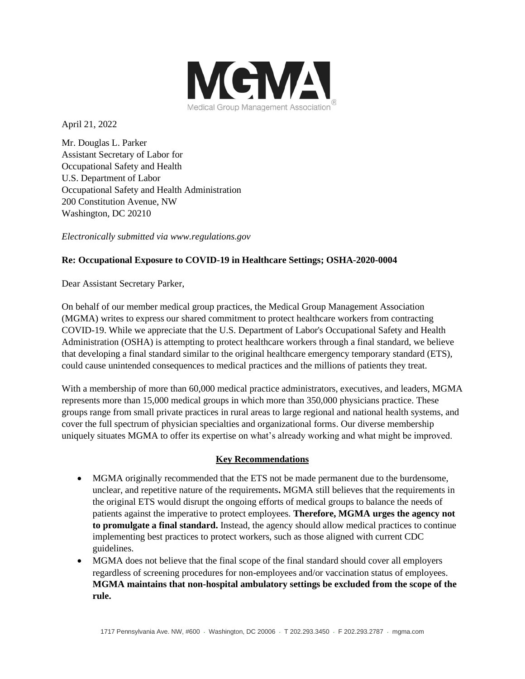

April 21, 2022

Mr. Douglas L. Parker Assistant Secretary of Labor for Occupational Safety and Health U.S. Department of Labor Occupational Safety and Health Administration 200 Constitution Avenue, NW Washington, DC 20210

*Electronically submitted via www.regulations.gov*

## **Re: Occupational Exposure to COVID-19 in Healthcare Settings; OSHA-2020-0004**

Dear Assistant Secretary Parker,

On behalf of our member medical group practices, the Medical Group Management Association (MGMA) writes to express our shared commitment to protect healthcare workers from contracting COVID-19. While we appreciate that the U.S. Department of Labor's Occupational Safety and Health Administration (OSHA) is attempting to protect healthcare workers through a final standard, we believe that developing a final standard similar to the original healthcare emergency temporary standard (ETS), could cause unintended consequences to medical practices and the millions of patients they treat.

With a membership of more than 60,000 medical practice administrators, executives, and leaders, MGMA represents more than 15,000 medical groups in which more than 350,000 physicians practice. These groups range from small private practices in rural areas to large regional and national health systems, and cover the full spectrum of physician specialties and organizational forms. Our diverse membership uniquely situates MGMA to offer its expertise on what's already working and what might be improved.

### **Key Recommendations**

- MGMA originally recommended that the ETS not be made permanent due to the burdensome, unclear, and repetitive nature of the requirements**.** MGMA still believes that the requirements in the original ETS would disrupt the ongoing efforts of medical groups to balance the needs of patients against the imperative to protect employees. **Therefore, MGMA urges the agency not to promulgate a final standard.** Instead, the agency should allow medical practices to continue implementing best practices to protect workers, such as those aligned with current CDC guidelines.
- MGMA does not believe that the final scope of the final standard should cover all employers regardless of screening procedures for non-employees and/or vaccination status of employees. **MGMA maintains that non-hospital ambulatory settings be excluded from the scope of the rule.**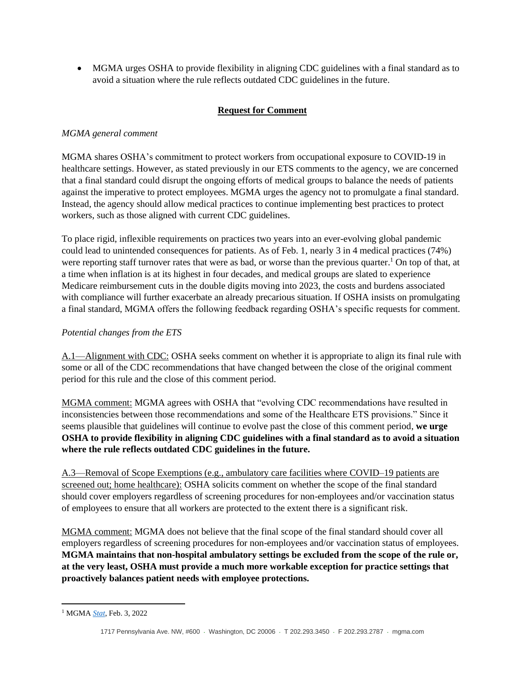• MGMA urges OSHA to provide flexibility in aligning CDC guidelines with a final standard as to avoid a situation where the rule reflects outdated CDC guidelines in the future.

# **Request for Comment**

# *MGMA general comment*

MGMA shares OSHA's commitment to protect workers from occupational exposure to COVID-19 in healthcare settings. However, as stated previously in our ETS comments to the agency, we are concerned that a final standard could disrupt the ongoing efforts of medical groups to balance the needs of patients against the imperative to protect employees. MGMA urges the agency not to promulgate a final standard. Instead, the agency should allow medical practices to continue implementing best practices to protect workers, such as those aligned with current CDC guidelines.

To place rigid, inflexible requirements on practices two years into an ever-evolving global pandemic could lead to unintended consequences for patients. As of Feb. 1, nearly 3 in 4 medical practices (74%) were reporting staff turnover rates that were as bad, or worse than the previous quarter.<sup>1</sup> On top of that, at a time when inflation is at its highest in four decades, and medical groups are slated to experience Medicare reimbursement cuts in the double digits moving into 2023, the costs and burdens associated with compliance will further exacerbate an already precarious situation. If OSHA insists on promulgating a final standard, MGMA offers the following feedback regarding OSHA's specific requests for comment.

## *Potential changes from the ETS*

A.1—Alignment with CDC: OSHA seeks comment on whether it is appropriate to align its final rule with some or all of the CDC recommendations that have changed between the close of the original comment period for this rule and the close of this comment period.

MGMA comment: MGMA agrees with OSHA that "evolving CDC recommendations have resulted in inconsistencies between those recommendations and some of the Healthcare ETS provisions." Since it seems plausible that guidelines will continue to evolve past the close of this comment period, **we urge OSHA to provide flexibility in aligning CDC guidelines with a final standard as to avoid a situation where the rule reflects outdated CDC guidelines in the future.**

A.3—Removal of Scope Exemptions (e.g., ambulatory care facilities where COVID–19 patients are screened out; home healthcare): OSHA solicits comment on whether the scope of the final standard should cover employers regardless of screening procedures for non-employees and/or vaccination status of employees to ensure that all workers are protected to the extent there is a significant risk.

MGMA comment: MGMA does not believe that the final scope of the final standard should cover all employers regardless of screening procedures for non-employees and/or vaccination status of employees. **MGMA maintains that non-hospital ambulatory settings be excluded from the scope of the rule or, at the very least, OSHA must provide a much more workable exception for practice settings that proactively balances patient needs with employee protections.** 

<sup>1</sup> MGMA *[Stat](https://www.mgma.com/data/data-stories/as-compensation-competition-continues,-medical-gro)*, Feb. 3, 2022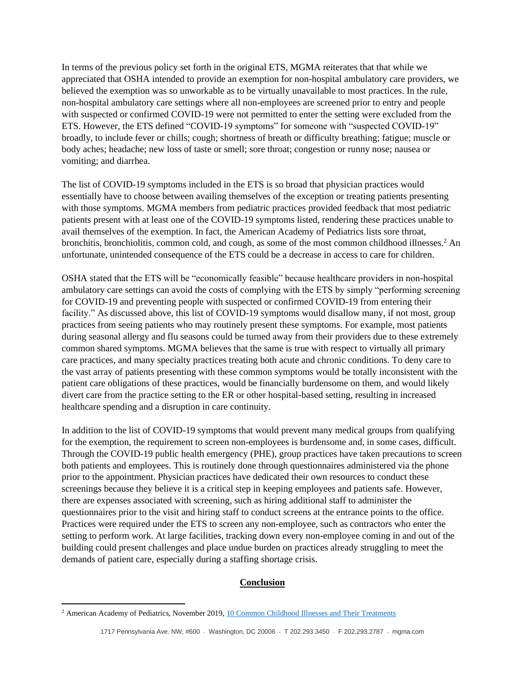In terms of the previous policy set forth in the original ETS, MGMA reiterates that that while we appreciated that OSHA intended to provide an exemption for non-hospital ambulatory care providers, we believed the exemption was so unworkable as to be virtually unavailable to most practices. In the rule, non-hospital ambulatory care settings where all non-employees are screened prior to entry and people with suspected or confirmed COVID-19 were not permitted to enter the setting were excluded from the ETS. However, the ETS defined "COVID-19 symptoms" for someone with "suspected COVID-19" broadly, to include fever or chills; cough; shortness of breath or difficulty breathing; fatigue; muscle or body aches; headache; new loss of taste or smell; sore throat; congestion or runny nose; nausea or vomiting; and diarrhea.

The list of COVID-19 symptoms included in the ETS is so broad that physician practices would essentially have to choose between availing themselves of the exception or treating patients presenting with those symptoms. MGMA members from pediatric practices provided feedback that most pediatric patients present with at least one of the COVID-19 symptoms listed, rendering these practices unable to avail themselves of the exemption. In fact, the American Academy of Pediatrics lists sore throat, bronchitis, bronchiolitis, common cold, and cough, as some of the most common childhood illnesses. <sup>2</sup> An unfortunate, unintended consequence of the ETS could be a decrease in access to care for children.

OSHA stated that the ETS will be "economically feasible" because healthcare providers in non-hospital ambulatory care settings can avoid the costs of complying with the ETS by simply "performing screening for COVID-19 and preventing people with suspected or confirmed COVID-19 from entering their facility." As discussed above, this list of COVID-19 symptoms would disallow many, if not most, group practices from seeing patients who may routinely present these symptoms. For example, most patients during seasonal allergy and flu seasons could be turned away from their providers due to these extremely common shared symptoms. MGMA believes that the same is true with respect to virtually all primary care practices, and many specialty practices treating both acute and chronic conditions. To deny care to the vast array of patients presenting with these common symptoms would be totally inconsistent with the patient care obligations of these practices, would be financially burdensome on them, and would likely divert care from the practice setting to the ER or other hospital-based setting, resulting in increased healthcare spending and a disruption in care continuity.

In addition to the list of COVID-19 symptoms that would prevent many medical groups from qualifying for the exemption, the requirement to screen non-employees is burdensome and, in some cases, difficult. Through the COVID-19 public health emergency (PHE), group practices have taken precautions to screen both patients and employees. This is routinely done through questionnaires administered via the phone prior to the appointment. Physician practices have dedicated their own resources to conduct these screenings because they believe it is a critical step in keeping employees and patients safe. However, there are expenses associated with screening, such as hiring additional staff to administer the questionnaires prior to the visit and hiring staff to conduct screens at the entrance points to the office. Practices were required under the ETS to screen any non-employee, such as contractors who enter the setting to perform work. At large facilities, tracking down every non-employee coming in and out of the building could present challenges and place undue burden on practices already struggling to meet the demands of patient care, especially during a staffing shortage crisis.

### **Conclusion**

<sup>&</sup>lt;sup>2</sup> American Academy of Pediatrics, November 2019, **10 Common Childhood Illnesses and Their Treatments**